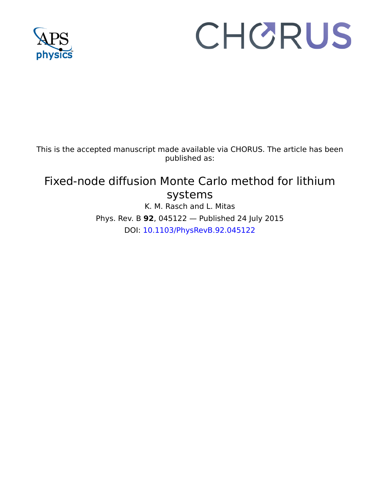

# CHORUS

This is the accepted manuscript made available via CHORUS. The article has been published as:

# Fixed-node diffusion Monte Carlo method for lithium systems K. M. Rasch and L. Mitas

Phys. Rev. B **92**, 045122 — Published 24 July 2015 DOI: [10.1103/PhysRevB.92.045122](http://dx.doi.org/10.1103/PhysRevB.92.045122)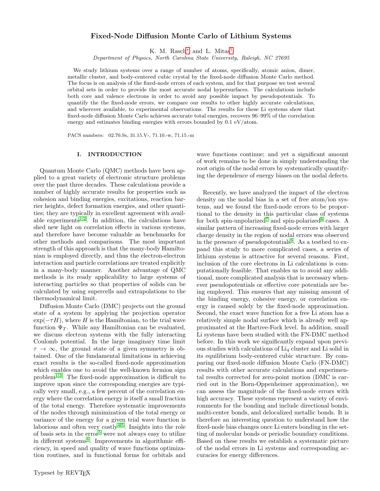# Fixed-Node Diffusion Monte Carlo of Lithium Systems

K. M. Rasch[∗](#page-8-0) and L. Mitas[†](#page-8-1)

Department of Physics, North Carolina State University, Raleigh, NC 27695

We study lithium systems over a range of number of atoms, specifically, atomic anion, dimer, metallic cluster, and body-centered cubic crystal by the fixed-node diffusion Monte Carlo method. The focus is on analysis of the fixed-node errors of each system, and for that purpose we test several orbital sets in order to provide the most accurate nodal hypersurfaces. The calculations include both core and valence electrons in order to avoid any possible impact by pseudopotentials. To quantify the the fixed-node errors, we compare our results to other highly accurate calculations, and wherever available, to experimental observations. The results for these Li systems show that fixed-node diffusion Monte Carlo achieves accurate total energies, recovers 96–99% of the correlation energy and estimates binding energies with errors bounded by  $0.1 \text{ eV}$ /atom.

PACS numbers: 02.70.Ss, 31.15.V-, 71.10.-w, 71.15.-m

## I. INTRODUCTION

Quantum Monte Carlo (QMC) methods have been applied to a great variety of electronic structure problems over the past three decades. These calculations provide a number of highly accurate results for properties such as cohesion and binding energies, excitations, reaction barrier heights, defect formation energies, and other quantities; they are typically in excellent agreement with avail-able experiments<sup>[1](#page-8-2)[,2](#page-8-3)</sup>. In addition, the calculations have shed new light on correlation effects in various systems, and therefore have become valuable as benchmarks for other methods and comparisons. The most important strength of this approach is that the many-body Hamiltonian is employed directly, and thus the electron-electron interaction and particle correlations are treated explicitly in a many-body manner. Another advantage of QMC methods is its ready applicability to large systems of interacting particles so that properties of solids can be calculated by using supercells and extrapolations to the thermodynamical limit.

Diffusion Monte Carlo (DMC) projects out the ground state of a system by applying the projection operator  $\exp(-\tau H)$ , where H is the Hamiltonian, to the trial wave function  $\Psi_T$ . While any Hamiltonian can be evaluated, we discuss electron systems with the fully interacting Coulomb potential. In the large imaginary time limit  $\tau \to \infty$ , the ground state of a given symmetry is obtained. One of the fundamental limitations in achieving exact results is the so-called fixed-node approximation which enables one to avoid the well-known fermion sign problem<sup>[1](#page-8-2)[,3](#page-8-4)</sup>. The fixed-node approximation is difficult to improve upon since the corresponding energies are typically very small, e.g., a few percent of the correlation energy where the correlation energy is itself a small fraction of the total energy. Therefore systematic improvements of the nodes through minimization of the total energy or variance of the energy for a given trial wave function is laborious and often very costly<sup>[4](#page-8-5)[,5](#page-8-6)</sup>. Insights into the role of basis sets in the error<sup>[5](#page-8-6)</sup> were not always easy to utilize in different systems<sup>[6](#page-8-7)</sup>. Improvements in algorithmic efficiency, in speed and quality of wave functions optimization routines, and in functional forms for orbitals and

wave functions continue; and yet a significant amount of work remains to be done in simply understanding the root origin of the nodal errors by systematically quantifying the dependence of energy biases on the nodal defects.

Recently, we have analyzed the impact of the electron density on the nodal bias in a set of free atom/ion systems, and we found the fixed-node errors to be proportional to the density in this particular class of systems for both spin-unpolarized<sup>[7](#page-8-8)</sup> and spin-polarized<sup>[8](#page-8-9)</sup> cases. A similar pattern of increasing fixed-node errors with larger charge density in the region of nodal errors was observed in the presence of pseudopotentials<sup>[9](#page-8-10)</sup>. As a testbed to expand this study to more complicated cases, a series of lithium systems is attractive for several reasons. First, inclusion of the core electrons in Li calculations is computationally feasible. That enables us to avoid any additional, more complicated analysis that is necessary whenever pseudopotentials or effective core potentials are being employed. This ensures that any missing amount of the binding energy, cohesive energy, or correlation energy is caused solely by the fixed-node approximation. Second, the exact wave function for a free Li atom has a relatively simple nodal surface which is already well approximated at the Hartree-Fock level. In addition, small Li systems have been studied with the FN-DMC method before. In this work we significantly expand upon previous studies with calculations of Li<sup>4</sup> cluster and Li solid in its equilibrium body-centered cubic structure. By comparing our fixed-node diffusion Monte Carlo (FN-DMC) results with other accurate calculations and experimental results corrected for zero-point motion (DMC is carried out in the Born-Oppenheimer approximation), we can assess the magnitude of the fixed-node errors with high accuracy. These systems represent a variety of environments for the bonding and include directional bonds, multi-center bonds, and delocalized metallic bonds. It is therefore an interesting question to understand how the fixed-node bias changes once Li enters bonding in the setting of molecular bonds or periodic boundary conditions. Based on these results we establish a systematic picture of the nodal errors in Li systems and corresponding accuracies for energy differences.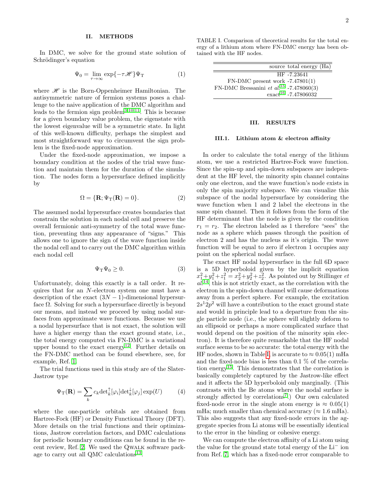# II. METHODS

In DMC, we solve for the ground state solution of Schrödinger's equation

$$
\Psi_0 = \lim_{\tau \to \infty} \exp\{-\tau \mathcal{H}\} \Psi_{\mathrm{T}} \tag{1}
$$

where  $\mathscr H$  is the Born-Oppenheimer Hamiltonian. The antisymmetric nature of fermion systems poses a challenge to the naive application of the DMC algorithm and leads to the fermion sign problem[3,](#page-8-4)[10,](#page-8-11)[11](#page-8-12). This is because for a given boundary value problem, the eigenstate with the lowest eigenvalue will be a symmetric state. In light of this well-known difficulty, perhaps the simplest and most straightforward way to circumvent the sign problem is the fixed-node approximation.

Under the fixed-node approximation, we impose a boundary condition at the nodes of the trial wave function and maintain them for the duration of the simulation. The nodes form a hypersurface defined implicitly by

$$
\Omega = \{ \mathbf{R}; \Psi_{\mathrm{T}}(\mathbf{R}) = 0 \}. \tag{2}
$$

The assumed nodal hypersurface creates boundaries that constrain the solution in each nodal cell and preserve the overall fermionic anti-symmetry of the total wave function, preventing thus any appearance of "signs." This allows one to ignore the sign of the wave function inside the nodal cell and to carry out the DMC algorithm within each nodal cell

$$
\Psi_{\mathbf{T}}\Psi_0 \ge 0. \tag{3}
$$

Unfortunately, doing this exactly is a tall order. It requires that for an N-electron system one must have a description of the exact  $(3N-1)$ -dimensional hypersurface  $\Omega$ . Solving for such a hypersurface directly is beyond our means, and instead we proceed by using nodal surfaces from approximate wave functions. Because we use a nodal hypersurface that is not exact, the solution will have a higher energy than the exact ground state, i.e., the total energy computed via FN-DMC is a variational upper bound to the exact energy<sup>[12](#page-8-13)</sup>. Further details on the FN-DMC method can be found elsewhere, see, for example, Ref. [1.](#page-8-2)

The trial functions used in this study are of the Slater-Jastrow type

$$
\Psi_{\mathcal{T}}(\mathbf{R}) = \sum_{k} c_{k} \det_{k}^{\uparrow} [\varphi_{i}] \det_{k}^{\downarrow} [\varphi_{j}] \exp(U) \tag{4}
$$

where the one-particle orbitals are obtained from Hartree-Fock (HF) or Density Functional Theory (DFT). More details on the trial functions and their optimizations, Jastrow correlation factors, and DMC calculations for periodic boundary conditions can be found in the recent review, Ref. [2.](#page-8-3) We used the Qwalk software pack-age to carry out all QMC calculations<sup>[13](#page-8-14)</sup>.

<span id="page-2-0"></span>TABLE I. Comparison of theoretical results for the total energy of a lithium atom where FN-DMC energy has been obtained with the HF nodes.

| source total energy (Ha)                            |  |
|-----------------------------------------------------|--|
| HF -7.23641                                         |  |
| $FN-DMC$ present work $-7.47801(1)$                 |  |
| FN-DMC Bressanini et al. <sup>15</sup> -7.478060(3) |  |
| $\arct{2}^{16}$ -7.47806032                         |  |

# III. RESULTS

#### III.1. Lithium atom & electron affinity

In order to calculate the total energy of the lithium atom, we use a restricted Hartree-Fock wave function. Since the spin-up and spin-down subspaces are independent at the HF level, the minority spin channel contains only one electron, and the wave function's node exists in only the spin majority subspace. We can visualize this subspace of the nodal hypersurface by considering the wave function when 1 and 2 label the electrons in the same spin channel. Then it follows from the form of the HF determinant that the node is given by the condition  $r_1 = r_2$ . The electron labeled as 1 therefore "sees" the node as a sphere which passes through the position of electron 2 and has the nucleus as it's origin. The wave function will be equal to zero if electron 1 occupies any point on the spherical nodal surface.

The exact HF nodal hypersurface in the full 6D space is a 5D hyperboloid given by the implicit equation  $x_1^2 + y_1^2 + z_1^2 = x_2^2 + y_2^2 + z_2^2$ . As pointed out by Stillinger *et*  $al.$ <sup>[14](#page-8-17)</sup>, this is not strictly exact, as the correlation with the electron in the spin-down channel will cause deformations away from a perfect sphere. For example, the excitation  $2s^12p^2$  will have a contribution to the exact ground state and would in principle lead to a departure from the single particle node (i.e., the sphere will slightly deform to an ellipsoid or perhaps a more complicated surface that would depend on the position of the minority spin electron). It is therefore quite remarkable that the HF nodal surface seems to be so accurate: the total energy with the HF nodes, shown in Table [I,](#page-2-0) is accurate to  $\approx 0.05(1)$  mHa and the fixed-node bias is less than 0.1 % of the correla-tion energy<sup>[15](#page-8-15)</sup>. This demonstrates that the correlation is basically completely captured by the Jastrow-like effect and it affects the 5D hyperboloid only marginally. (This contrasts with the Be atoms where the nodal surface is strongly affected by correlations<sup>[7](#page-8-8)</sup>.) Our own calculated fixed-node error in the single atom energy is  $\approx 0.05(1)$ mHa; much smaller than chemical accuracy ( $\approx 1.6$  mHa). This also suggests that any fixed-node errors in the aggregate species from Li atoms will be essentially identical to the error in the binding or cohesive energy.

We can compute the electron affinity of a Li atom using the value for the ground state total energy of the Li<sup>−</sup> ion from Ref. [7,](#page-8-8) which has a fixed-node error comparable to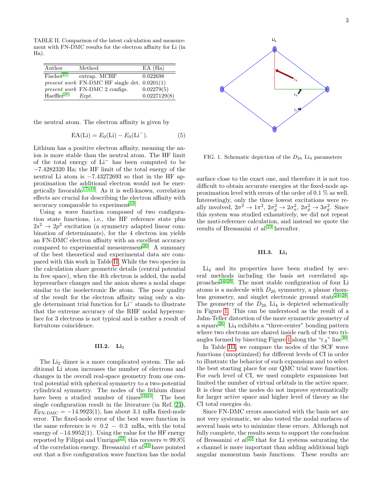<span id="page-3-0"></span>TABLE II. Comparison of the latest calculation and measurement with FN-DMC results for the electron affinity for Li (in

| Author                   | Method                                                  | $EA$ (Ha)    |
|--------------------------|---------------------------------------------------------|--------------|
| $F$ ischer <sup>21</sup> | extrap. MCHF                                            | 0.022698     |
|                          | <i>present work</i> $FN-DMC$ HF single det. $0.0201(1)$ |              |
|                          | <i>present work</i> FN-DMC 2 configs.                   | 0.02279(5)   |
| Haeffler <sup>20</sup>   | Expt.                                                   | 0.0227129(8) |

the neutral atom. The electron affinity is given by

Ha).

$$
EA(Li) = E_0(Li) - E_0(Li^-). \tag{5}
$$

Lithium has a positive electron affinity, meaning the anion is more stable than the neutral atom. The HF limit of the total energy of Li<sup>−</sup> has been computed to be −7.4282320 Ha; the HF limit of the total energy of the neutral Li atom is −7.43272693 so that in the HF approximation the additional electron would not be ener-getically favorable<sup>[17](#page-8-20)[–19](#page-8-21)</sup>. As it is well-known, correlation effects are crucial for describing the electron affinity with  $\alpha$  accuracy comparable to experiment<sup>[19](#page-8-21)</sup>.

Using a wave function composed of two configuration state functions, i.e., the HF reference state plus  $2s^2 \rightarrow 2p^2$  excitation (a symmetry adapted linear combination of determinants), for the 4 electron ion yields an FN-DMC electron affinity with an excellent accuracy compared to experimental measurement<sup>[20](#page-8-19)</sup>. A summary of the best theoretical and experimental data are compared with this work in Table [II.](#page-3-0) While the two species in the calculation share geometric details (central potential in free space), when the 4th electron is added, the nodal hypersurface changes and the anion shows a nodal shape similar to the isoelectronic Be atom. The poor quality of the result for the electron affinity using only a single determinant trial function for Li<sup>−</sup> stands to illustrate that the extreme accuracy of the RHF nodal hypersurface for 3 electrons is not typical and is rather a result of fortuitous coincidence.

#### III.2. Li<sup>2</sup>

The Li<sub>2</sub> dimer is a more complicated system. The additional Li atom increases the number of electrons and changes in the overall real-space geometry from one central potential with spherical symmetry to a two-potential cylindrical symmetry. The nodes of the lithium dimer have been a studied number of times $22,23$  $22,23$ . The best single configuration result in the literature (in Ref. [23\)](#page-8-23),  $E_{\text{FN-DMC}} = -14.9923(1)$ , has about 3.1 mHa fixed-node error. The fixed-node error of the best wave function in the same reference is  $\approx 0.2 - 0.3$  mHa, with the total energy of  $-14.9952(1)$ . Using the value for the HF energy reported by Filippi and Umrigar<sup>[22](#page-8-22)</sup>, this recovers  $\approx 99.8\%$ of the correlation energy. Bressanini  $et al.<sup>23</sup>$  $et al.<sup>23</sup>$  $et al.<sup>23</sup>$  have pointed out that a five configuration wave function has the nodal



<span id="page-3-1"></span>FIG. 1. Schematic depiction of the  $D_{2h}$  Li<sub>4</sub> parameters

surface close to the exact one, and therefore it is not too difficult to obtain accurate energies at the fixed-node approximation level with errors of the order of 0.1 % as well. Interestingly, only the three lowest excitations were really involved,  $2\sigma^2 \to 1\pi^2$ ,  $2\sigma_g^2 \to 2\sigma_u^2$ ,  $2\sigma_g^2 \to 3\sigma_g^2$ . Since this system was studied exhaustively, we did not repeat the muti-reference calculation, and instead we quote the results of Bressanini $\it{et~al.^{23}}$  $\it{et~al.^{23}}$  $\it{et~al.^{23}}$  hereafter.

# III.3. Li<sup>4</sup>

Li<sup>4</sup> and its properties have been studied by several methods including the basis set correlated ap-proaches<sup>[24](#page-8-24)[–29](#page-8-25)</sup>. The most stable configuration of four Li atoms is a molecule with  $D_{2h}$  symmetry, a planar rhom-bus geometry, and singlet electronic ground state<sup>24-[28](#page-8-26)</sup>. The geometry of the  $D_{2h}$  Li<sub>4</sub> is depicted schematically in Figure [1.](#page-3-1) This can be understood as the result of a Jahn-Teller distortion of the more symmetric geometry of a square<sup>[26](#page-8-27)</sup>. Li<sub>4</sub> exhibits a "three-center" bonding pattern where two electrons are shared inside each of the two tri-angles formed by bisecting Figure [1](#page-3-1) along the " $r_A$ " line<sup>[30](#page-8-28)</sup>.

In Table [III,](#page-4-0) we compare the nodes of the SCF wave functions (unoptimized) for different levels of CI in order to illustrate the behavior of such expansions and to select the best starting place for our QMC trial wave function. For each level of CI, we used complete expansions but limited the number of virtual orbitals in the active space. It is clear that the nodes do not improve systematically for larger active space and higher level of theory as the CI total energies do.

Since FN-DMC errors associated with the basis set are not very systematic, we also tested the nodal surfaces of several basis sets to minimize these errors. Although not fully complete, the results seem to support the conclusion of Bressanini et  $al^{23}$  $al^{23}$  $al^{23}$  that for Li systems saturating the s channel is more important than adding additional high angular momentum basis functions. These results are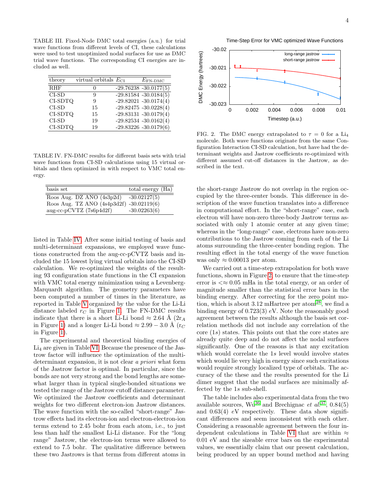4

Time-Step Error for VMC optimized Wave Functions

<span id="page-4-0"></span>TABLE III. Fixed-Node DMC total energies (a.u.) for trial wave functions from different levels of CI, these calculations were used to test unoptimized nodal surfaces for use as DMC trial wave functions. The corresponding CI energies are included as well.

| theory     | virtual orbitals $E_{\text{CI}}$ | $E_{\text{FN-DMC}}$      |
|------------|----------------------------------|--------------------------|
| <b>RHF</b> | $\mathbf{\Omega}$                | $-29.76238 - 30.0177(5)$ |
| $CI-SD$    | 9                                | $-29.81584 - 30.0184(5)$ |
| CI-SDTQ    | 9                                | $-29.82021 - 30.0174(4)$ |
| $CI-SD$    | 15                               | $-29.82475 - 30.0228(4)$ |
| CI-SDTQ    | 15                               | $-29.83131 - 30.0179(4)$ |
| $CI-SD$    | 19                               | $-29.82534 - 30.0162(4)$ |
| $CI-SDTQ$  | 19                               | $-29.83226 - 30.0179(6)$ |

<span id="page-4-1"></span>TABLE IV. FN-DMC results for different basis sets with trial wave functions from CI-SD calculations using 15 virtual orbitals and then optimized in with respect to VMC total energy.

| basis set                                | total energy $(Ha)$ |
|------------------------------------------|---------------------|
| Roos Aug. DZ ANO $(\overline{4s3p2d})$   | $-30.02127(5)$      |
| Roos Aug. TZ ANO (4s4p3d2f) -30.02119(6) |                     |
| aug-cc-pCVTZ (7s6p4d2f)                  | $-30.02263(6)$      |

listed in Table [IV.](#page-4-1) After some initial testing of basis and multi-determinant expansions, we employed wave functions constructed from the aug-cc-pCVTZ basis and included the 15 lowest lying virtual orbitals into the CI-SD calculation. We re-optimized the weights of the resulting 93 configuration state functions in the CI expansion with VMC total energy minimization using a Levenberg-Marquardt algorithm. The geometry parameters have been computed a number of times in the literature, as reported in Table [V](#page-5-0) organized by the value for the Li-Li distance labeled  $r<sub>C</sub>$  in Figure [1.](#page-3-1) The FN-DMC results indicate that there is a short Li-Li bond  $\approx 2.64$  Å (2r<sub>A</sub> in Figure [1\)](#page-3-1) and a longer Li-Li bond  $\approx 2.99 - 3.0$  Å (r<sub>C</sub> in Figure [1\)](#page-3-1).

The experimental and theoretical binding energies of Li<sup>4</sup> are given in Table [VI.](#page-5-1) Because the presence of the Jastrow factor will influence the optimization of the multideterminant expansion, it is not clear a priori what form of the Jastrow factor is optimal. In particular, since the bonds are not very strong and the bond lengths are somewhat larger than in typical single-bonded situations we tested the range of the Jastrow cutoff distance parameter. We optimized the Jastrow coefficients and determinant weights for two different electron-ion Jastrow distances. The wave function with the so-called "short-range" Jastrow effects had its electron-ion and electron-electron-ion terms extend to 2.45 bohr from each atom, i.e., to just less than half the smallest Li-Li distance. For the "long range" Jastrow, the electron-ion terms were allowed to extend to 7.5 bohr. The qualitative difference between these two Jastrows is that terms from different atoms in



<span id="page-4-2"></span>FIG. 2. The DMC energy extrapolated to  $\tau = 0$  for a Li<sub>4</sub> molecule. Both wave functions originate from the same Configuration Interaction CI-SD calculation, but have had the determinant weights and Jastrow coefficients re-optimized with different assumed cut-off distances in the Jastrow, as described in the text.

the short-range Jastrow do not overlap in the region occupied by the three-center bonds. This difference in description of the wave function translates into a difference in computational effort. In the "short-range" case, each electron will have non-zero three-body Jastrow terms associated with only 1 atomic center at any given time; whereas in the "long-range" case, electrons have non-zero contributions to the Jastrow coming from each of the Li atoms surrounding the three-center bonding region. The resulting effect in the total energy of the wave function was only  $\approx 0.00013$  per atom.

We carried out a time-step extrapolation for both wave functions, shown in Figure [2,](#page-4-2) to ensure that the time-step error is  $\ll \approx 0.05$  mHa in the total energy, or an order of magnitude smaller than the statistical error bars in the binding energy. After correcting for the zero point motion, which is about  $3.12 \text{ m}$ Hartree per atom<sup>[28](#page-8-26)</sup>, we find a binding energy of 0.723(3)  $eV$ . Note the reasonably good agreement between the results although the basis set correlation methods did not include any correlation of the core (1s) states. This points out that the core states are already quite deep and do not affect the nodal surfaces significantly. One of the reasons is that any excitation which would correlate the 1s level would involve states which would lie very high in energy since such excitations would require strongly localized type of orbitals. The accuracy of the these and the results presented for the Li dimer suggest that the nodal surfaces are minimally affected by the 1s sub-shell.

The table includes also experimental data from the two available sources,  $Wu^{36}$  $Wu^{36}$  $Wu^{36}$  and Brechignac *et al.*<sup>[37](#page-8-30)</sup>, 0.84(5) and  $0.63(4)$  eV respectively. These data show significant differences and seem inconsistent with each other. Considering a reasonable agreement between the four in-dependent calculations in Table [VI](#page-5-1) that are within  $\approx$ 0.01 eV and the sizeable error bars on the experimental values, we essentially claim that our present calculation, being produced by an upper bound method and having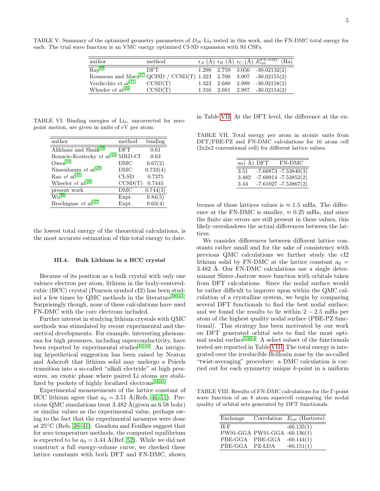<span id="page-5-0"></span>TABLE V. Summary of the optimized geometry parameters of  $D_{2h}$  Li<sub>4</sub> tested in this work, and the FN-DMC total energy for each. The trial wave function is an VMC energy optimized CI-SD expansion with 93 CSFs.

| author                                                                         | method  |  | $r_A$ (Å) $r_B$ (Å) $r_C$ (Å) $E_{\text{tot}}^{\text{FN-DMC}}$ (Ha) |  |
|--------------------------------------------------------------------------------|---------|--|---------------------------------------------------------------------|--|
| $\text{Ray}^{24}$                                                              | DFT.    |  | $1.298$ $2.759$ $3.050$ $-30.02132(2)$                              |  |
| Rousseau and $\text{Marx}^{27}$ QCISD / CCSD(T) 1.323 2.700 3.007 -30.02155(2) |         |  |                                                                     |  |
| Verdicchio et $al.^{31}$                                                       | CCSD(T) |  | $1.323$ $2.680$ $2.989$ $-30.02158(2)$                              |  |
| Wheeler <i>et al.</i> <sup>28</sup>                                            | CCSD(T) |  | $1.316$ $2.681$ $2.987$ $-30.02154(2)$                              |  |

TABLE VI. Binding energies of Li<sub>4</sub>, uncorrected for zeropoint motion, are given in units of eV per atom.

<span id="page-5-1"></span>

| $\operatorname{method}$ | binding  |
|-------------------------|----------|
| <b>DFT</b>              | 0.61     |
| MRD-CI                  | 0.63     |
| DMC                     | 0.67(2)  |
| DMC                     | 0.733(4) |
| CI-SD                   | 0.7375   |
| CCSD(T)                 | 0.7445   |
| DMC                     | 0.744(3) |
| Expt.                   | 0.84(5)  |
| Expt.                   | 0.63(4)  |
|                         |          |

the lowest total energy of the theoretical calculations, is the most accurate estimation of this total energy to date.

#### III.4. Bulk Lithium in a BCC crystal

Because of its position as a bulk crystal with only one valence electron per atom, lithium in the body-centeredcubic (BCC) crystal (Pearson symbol cI2) has been stud-ied a few times by QMC methods in the literature<sup>38-[41](#page-8-38)</sup>. Surprisingly though, none of these calculations have used FN-DMC with the core electrons included.

Further interest in studying lithium crystals with QMC methods was stimulated by recent experimental and theoretical developments. For example, interesting phenomena for high pressures, including superconductivity, have been reported by experimental studies $42,43$  $42,43$ . An intriguing hypothetical suggestion has been raised by Neaton and Ashcroft that lithium solid may undergo a Peierls transition into a so-called "alkali electride" at high pressures, an exotic phase where paired Li atoms are stabi-lized by pockets of highly localized electrons<sup>[44,](#page-8-41)[45](#page-8-42)</sup>.

Experimental measurements of the lattice constant of BCC lithium agree that  $a_0 = 3.51$  Å(Refs. [46–](#page-8-43)[51\)](#page-8-44). Previous QMC simulations treat  $3.482 \text{ Å}$ (given as  $6.58 \text{ bohr}$ ) or similar values as the experimental value, perhaps owing to the fact that the experimental measures were done at 25◦C (Refs. [38–](#page-8-37)[41\)](#page-8-38). Gaudoin and Foulkes suggest that for zero temperature methods, the computed equilibrium is expected to be  $a_0 = 3.44$  Å(Ref. [52\)](#page-8-45). While we did not construct a full energy-volume curve, we checked these lattice constants with both DFT and FN-DMC, shown

in Table [VII.](#page-5-2) At the DFT level, the difference at the ex-

TABLE VII. Total energy per atom in atomic units from DFT/PBE-PZ and FN-DMC calculations for 16 atom cell (2x2x2 conventional cell) for different lattice values.

<span id="page-5-2"></span>

| $a_0$ ( Å) DFT | FN-DMC                  |
|----------------|-------------------------|
| 3.51           | $-7.60873 - 7.53840(3)$ |
| 3.482          | $-7.60914 - 7.53852(2)$ |
| 3.44           | $-7.61027 - 7.53867(2)$ |

tremes of these lattices values is  $\approx 1.5$  mHa. The difference at the FN-DMC is smaller,  $\approx 0.25$  mHa, and since the finite size errors are still present in these values, this likely overshadows the actual differences between the lattices.

We consider differences between different lattice constants rather small and for the sake of consistency with previous QMC calculations we further study the cI2 lithium solid by FN-DMC at the lattice constant  $a_0 =$ 3.482 Å. Our FN-DMC calculations use a single determinant Slater-Jastrow wave function with orbitals taken from DFT calculations. Since the nodal surface would be rather difficult to improve upon within the QMC calculation of a crystalline system, we begin by comparing several DFT functionals to find the best nodal surface; and we found the results to lie within  $2 - 2.5$  mHa per atom of the highest quality nodal surface (PBE-PZ functional). This strategy has been motivated by our work on DFT generated orbital sets to find the most optimal nodal surface $53,54$  $53,54$ . A select subset of the functionals tested are reported in Table [VIII.](#page-5-3) The total energy is integrated over the irreducible Brillouin zone by the so-called "twist-averaging" procedure: a DMC calculation is carried out for each symmetry unique k-point in a uniform

TABLE VIII. Results of FN-DMC calculations for the Γ-point wave function of an 8 atom supercell comparing the nodal quality of orbital sets generated by DFT functionals.

<span id="page-5-3"></span>

| Exchange       |                              | Correlation $E_{\text{tot}}$ (Hartrees) |
|----------------|------------------------------|-----------------------------------------|
| $H-F$          |                              | $-60.135(1)$                            |
|                | PW91-GGA PW91-GGA -60.136(1) |                                         |
|                | PBE-GGA PBE-GGA -60.144(1)   |                                         |
| PBE-GGA PZ-LDA |                              | $-60.151(1)$                            |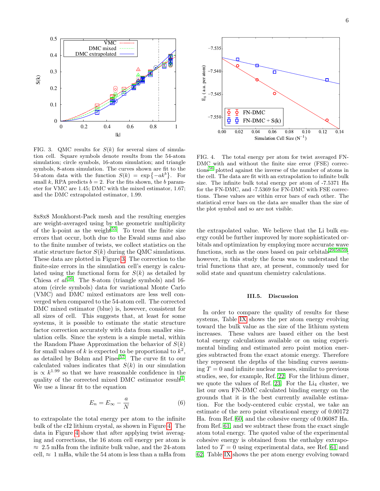

<span id="page-6-0"></span>FIG. 3. QMC results for  $S(k)$  for several sizes of simulation cell. Square symbols denote results from the 54-atom simulation; circle symbols, 16-atom simulation; and triangle symbols, 8-atom simulation. The curves shown are fit to the 54-atom data with the function  $S(k) = \exp\{-ak^b\}$ . For small k, RPA predicts  $b = 2$ . For the fits shown, the b parameter for VMC are 1.45; DMC with the mixed estimator, 1.67; and the DMC extrapolated estimator, 1.99.

8x8x8 Monkhorst-Pack mesh and the resulting energies are weight-averaged using by the geometric multiplicity of the k-point as the weight<sup>[55](#page-9-1)</sup>. To treat the finite size errors that occur, both due to the Ewald sums and also to the finite number of twists, we collect statistics on the static structure factor  $S(k)$  during the QMC simulations. These data are plotted in Figure [3.](#page-6-0) The correction to the finite-size errors in the simulation cell's energy is calculated using the functional form for  $S(k)$  as detailed by Chiesa  $et$   $al$ <sup>[56](#page-9-2)</sup>. The 8-atom (triangle symbols) and 16atom (circle symbols) data for variational Monte Carlo (VMC) and DMC mixed estimators are less well converged when compared to the 54-atom cell. The corrected DMC mixed estimator (blue) is, however, consistent for all sizes of cell. This suggests that, at least for some systems, it is possible to estimate the static structure factor correction accurately with data from smaller simulation cells. Since the system is a simple metal, within the Random Phase Approximation the behavior of  $S(k)$ for small values of k is expected to be proportional to  $k^2$ , as detailed by Bohm and  $Pines<sup>57</sup>$  $Pines<sup>57</sup>$  $Pines<sup>57</sup>$ . The curve fit to our calculated values indicates that  $S(k)$  in our simulation is  $\propto k^{1.99}$  so that we have reasonable confidence in the quality of the corrected mixed DMC estimator result<sup>[1](#page-8-2)</sup>. We use a linear fit to the equation FIG. 3. QMC results for 86 bit were solution in the 54 atom in the 54 atom in the 54 atom in the 54 atom in the 54 atom in the 54 atom in the 54 atom in the 54 atom in the 54 atom in the 54 atom in the 54 atom in the 54

$$
E_n = E_{\infty} - \frac{a}{N} \tag{6}
$$

to extrapolate the total energy per atom to the infinite bulk of the cI2 lithium crystal, as shown in Figure [4.](#page-6-1) The data in Figure [4](#page-6-1) show that after applying twist averaging and corrections, the 16 atom cell energy per atom is  $\approx 2.5$  mHa from the infinite bulk value, and the 24-atom



<span id="page-6-1"></span>FIG. 4. The total energy per atom for twist averaged FN-DMC with and without the finite size error (FSE) corrections[56](#page-9-2) plotted against the inverse of the number of atoms in the cell. The data are fit with an extrapolation to infinite bulk size. The infinite bulk total energy per atom of -7.5371 Ha for the FN-DMC, and -7.5369 for FN-DMC with FSE corrections. These values are within error bars of each other. The statistical error bars on the data are smaller than the size of the plot symbol and so are not visible.

the extrapolated value. We believe that the Li bulk energy could be further improved by more sophisticated orbitals and optimization by employing more accurate wave functions, such as the ones based on pair orbitals<sup>[29](#page-8-25)[,58,](#page-9-4)[59](#page-9-5)</sup>; however, in this study the focus was to understand the trial functions that are, at present, commonly used for solid state and quantum chemistry calculations.

## III.5. Discussion

In order to compare the quality of results for these systems, Table [IX](#page-7-0) shows the per atom energy evolving toward the bulk value as the size of the lithium system increases. These values are based either on the best total energy calculations available or on using experimental binding and estimated zero point motion energies subtracted from the exact atomic energy. Therefore they represent the depths of the binding curves assuming  $T = 0$  and infinite nuclear masses, similar to previous studies, see, for example, Ref. [22.](#page-8-22) For the lithium dimer, we quote the values of Ref. [23.](#page-8-23) For the  $Li_4$  cluster, we list our own FN-DMC calculated binding energy on the grounds that it is the best currently available estimation. For the body-centered cubic crystal, we take an estimate of the zero point vibrational energy of 0.00172 Ha. from Ref. [60,](#page-9-6) and the cohesive energy of 0.06087 Ha. from Ref. [61,](#page-9-7) and we subtract these from the exact single atom total energy. The quoted value of the experimental cohesive energy is obtained from the enthalpy extrapolated to  $T = 0$  using experimental data, see Ref. [61](#page-9-7) and [62.](#page-9-8) Table [IX](#page-7-0) shows the per atom energy evolving toward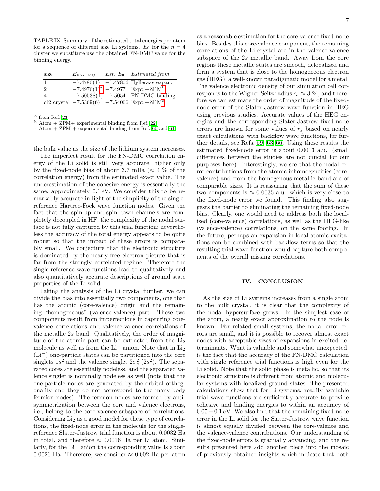<span id="page-7-0"></span>TABLE IX. Summary of the estimated total energies per atom for a sequence of different size Li systems.  $E_0$  for the  $n = 4$ cluster we substitute use the obtained FN-DMC value for the binding energy.

| size           | $E_{\text{FN-DMC}}$ |  | $Est. E_0$ Estimated from                                  |
|----------------|---------------------|--|------------------------------------------------------------|
| $\mathbf{1}$   | $-7.4780(1)$        |  | $-7.47806$ Hylleraas expan.                                |
| $\overline{2}$ |                     |  | $-7.4976(1)^a$ $-7.4977$ Expt.+ZPM <sup>b</sup>            |
| $\overline{4}$ |                     |  | $-7.50538(1)$ $-7.50541$ FN-DMC binding                    |
|                |                     |  | cI2 crystal $-7.5369(6)$ $-7.54066$ Expt.+ZPM <sup>c</sup> |

<span id="page-7-1"></span>a from Ref. [23](#page-8-23)

<span id="page-7-2"></span> $^{\rm b}$  Atom + ZPM+ experimental binding from Ref. [22](#page-8-22)

<span id="page-7-3"></span> $\,^{\rm c}$  Atom  $+$  ZPM  $+$  experimental binding from Ref. [60](#page-9-6) and [61](#page-9-7)

the bulk value as the size of the lithium system increases.

The imperfect result for the FN-DMC correlation energy of the Li solid is still very accurate, higher only by the fixed-node bias of about 3.7 mHa ( $\approx$  4 % of the correlation energy) from the estimated exact value. The underestimation of the cohesive energy is essentially the same, approximately  $0.1 \, \text{eV}$ . We consider this to be remarkably accurate in light of the simplicity of the singlereference Hartree-Fock wave function nodes. Given the fact that the spin-up and spin-down channels are completely decoupled in HF, the complexity of the nodal surface is not fully captured by this trial function; nevertheless the accuracy of the total energy appears to be quite robust so that the impact of these errors is comparably small. We conjecture that the electronic structure is dominated by the nearly-free electron picture that is far from the strongly correlated regime. Therefore the single-reference wave functions lead to qualitatively and also quantitatively accurate descriptions of ground state properties of the Li solid.

Taking the analysis of the Li crystal further, we can divide the bias into essentially two components, one that has the atomic (core-valence) origin and the remaining "homogeneous" (valence-valence) part. These two components result from imperfections in capturing corevalence correlations and valence-valence correlations of the metallic 2s band. Qualitatively, the order of magnitude of the atomic part can be extracted from the  $Li<sub>2</sub>$ molecule as well as from the Li<sup>−</sup> anion. Note that in Li<sub>2</sub> (Li<sup>−</sup>) one-particle states can be partitioned into the core singlets  $1s^2$  and the valence singlet  $2\sigma_g^2$  (2s<sup>2</sup>). The separated cores are essentially nodeless, and the separated valence singlet is nominally nodeless as well (note that the one-particle nodes are generated by the orbital orthogonality and they do not correspond to the many-body fermion nodes). The fermion nodes are formed by antisymmetrization between the core and valence electrons, i.e., belong to the core-valence subspace of correlations. Considering Li<sub>2</sub> as a good model for these type of correlations, the fixed-node error in the molecule for the singlereference Slater-Jastrow trial function is about 0.0032 Ha in total, and therefore  $\approx 0.0016$  Ha per Li atom. Similarly, for the Li<sup>−</sup> anion the corresponding value is about 0.0026 Ha. Therefore, we consider  $\approx 0.002$  Ha per atom as a reasonable estimation for the core-valence fixed-node bias. Besides this core-valence component, the remaining correlations of the Li crystal are in the valence-valence subspace of the 2s metallic band. Away from the core regions these metallic states are smooth, delocalized and form a system that is close to the homogeneous electron gas (HEG), a well-known paradigmatic model for a metal. The valence electronic density of our simulation cell corresponds to the Wigner-Seitz radius  $r_s \approx 3.24$ , and therefore we can estimate the order of magnitude of the fixednode error of the Slater-Jastrow wave function in HEG using previous studies. Accurate values of the HEG energies and the corresponding Slater-Jastrow fixed-node errors are known for some values of  $r_s$  based on nearly exact calculations with backflow wave functions, for further details, see Refs. [59,](#page-9-5) [63–](#page-9-9)[66.](#page-9-10) Using these results the estimated fixed-node error is about 0.0013 a.u. (small differences between the studies are not crucial for our purposes here). Interestingly, we see that the nodal error contributions from the atomic inhomogeneities (corevalence) and from the homogenous metallic band are of comparable sizes. It is reassuring that the sum of these two components is  $\approx 0.0035$  a.u. which is very close to the fixed-node error we found. This finding also suggests the barrier to eliminating the remaining fixed-node bias. Clearly, one would need to address both the localized (core-valence) correlations, as well as the HEG-like (valence-valence) correlations, on the same footing. In the future, perhaps an expansion in local atomic excitations can be combined with backflow terms so that the resulting trial wave function would capture both components of the overall missing correlations.

#### IV. CONCLUSION

As the size of Li systems increases from a single atom to the bulk crystal, it is clear that the complexity of the nodal hypersurface grows. In the simplest case of the atom, a nearly exact approximation to the node is known. For related small systems, the nodal error errors are small, and it is possible to recover almost exact nodes with acceptable sizes of expansions in excited determinants. What is valuable and somewhat unexpected, is the fact that the accuracy of the FN-DMC calculation with single reference trial functions is high even for the Li solid. Note that the solid phase is metallic, so that its electronic structure is different from atomic and molecular systems with localized ground states. The presented calculations show that for Li systems, readily available trial wave functions are sufficiently accurate to provide cohesive and binding energies to within an accuracy of  $0.05-0.1 eV$ . We also find that the remaining fixed-node error in the Li solid for the Slater-Jastrow wave function is almost equally divided between the core-valence and the valence-valence contributions. Our understanding of the fixed-node errors is gradually advancing, and the results presented here add another piece into the mosaic of previously obtained insights which indicate that both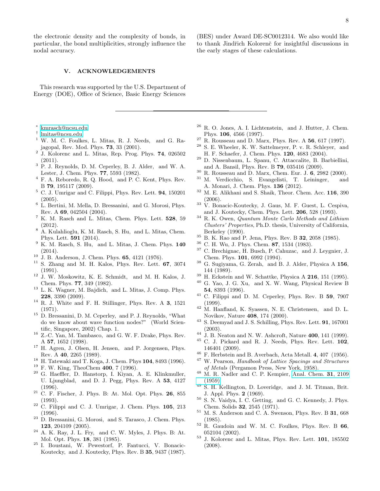the electronic density and the complexity of bonds, in particular, the bond multiplicities, strongly influence the nodal accuracy.

# V. ACKNOWLEDGEMENTS

This research was supported by the U.S. Department of Energy (DOE), Office of Science, Basic Energy Sciences

- <span id="page-8-0"></span>∗ [kmrasch@ncsu.edu](mailto:kmrasch@ncsu.edu)
- <span id="page-8-1"></span>† [lmitas@ncsu.edu](mailto:lmitas@ncsu.edu)
- <span id="page-8-2"></span> $1$  W. M. C. Foulkes, L. Mitas, R. J. Needs, and G. Rajagopal, Rev. Mod. Phys. 73, 33 (2001).
- <span id="page-8-3"></span>2 J. Kolorenc and L. Mitas, Rep. Prog. Phys. 74, 026502 (2011).
- <span id="page-8-4"></span><sup>3</sup> P. J. Reynolds, D. M. Ceperley, B. J. Alder, and W. A. Lester, J. Chem. Phys. 77, 5593 (1982).
- <span id="page-8-5"></span> $^4$  F. A. Reboredo, R. Q. Hood, and P. C. Kent, Phys. Rev. B 79, 195117 (2009).
- <span id="page-8-6"></span> $5$  C. J. Umrigar and C. Filippi, Phys. Rev. Lett. 94, 150201 (2005).
- <span id="page-8-7"></span><sup>6</sup> L. Bertini, M. Mella, D. Bressanini, and G. Morosi, Phys. Rev. A 69, 042504 (2004).
- <span id="page-8-8"></span><sup>7</sup> K. M. Rasch and L. Mitas, Chem. Phys. Lett. 528, 59 (2012).
- <span id="page-8-9"></span><sup>8</sup> A. Kulahlioglu, K. M. Rasch, S. Hu, and L. Mitas, Chem. Phys. Lett. 591 (2014).
- <span id="page-8-10"></span><sup>9</sup> K. M. Rasch, S. Hu, and L. Mitas, J. Chem. Phys. 140 (2014).
- <span id="page-8-11"></span> $10\,$  J. B. Anderson, J. Chem. Phys. 65, 4121 (1976).
- <span id="page-8-12"></span> $11$  S. Zhang and M. H. Kalos, Phys. Rev. Lett. 67, 3074 (1991).
- <span id="page-8-13"></span><sup>12</sup> J. W. Moskowitz, K. E. Schmidt, and M. H. Kalos, J. Chem. Phys. 77, 349 (1982).
- <span id="page-8-14"></span><sup>13</sup> L. K. Wagner, M. Bajdich, and L. Mitas, J. Comp. Phys. 228, 3390 (2009).
- <span id="page-8-17"></span><sup>14</sup> R. J. White and F. H. Stillinger, Phys. Rev. A 3, 1521  $(1971)$
- <span id="page-8-15"></span><sup>15</sup> D. Bressanini, D. M. Ceperley, and P. J. Reynolds, "What do we know about wave function nodes?" (World Scientific, Singapore, 2002) Chap. 1.
- <span id="page-8-16"></span><sup>16</sup> Z.-C. Yan, M. Tambasco, and G. W. F. Drake, Phys. Rev. A 57, 1652 (1998).
- <span id="page-8-20"></span><sup>17</sup> H. Agren, J. Olsen, H. Jensen, and P. Jorgensen, Phys. Rev. A 40, 2265 (1989).
- <sup>18</sup> H. Tatewaki and T. Koga, J. Chem. Phys **104**, 8493 (1996).
- <span id="page-8-21"></span><sup>19</sup> F. W. King, TheoChem **400**, 7 (1996).
- <span id="page-8-19"></span><sup>20</sup> G. Haeffler, D. Hanstorp, I. Kiyan, A. E. Klinkmuller, U. Ljungblad, and D. J. Pegg, Phys. Rev. A 53, 4127 (1996).
- <span id="page-8-18"></span> $21$  C. F. Fischer, J. Phys. B: At. Mol. Opt. Phys. 26, 855 (1993).
- <span id="page-8-22"></span> $22$  C. Filippi and C. J. Umrigar, J. Chem. Phys.  $105$ ,  $213$ (1996).
- <span id="page-8-23"></span><sup>23</sup> D. Bressanini, G. Morosi, and S. Tarasco, J. Chem. Phys. 123, 204109 (2005).
- <span id="page-8-24"></span> $24$  A. K. Ray, J. L. Fry, and C. W. Myles, J. Phys. B: At. Mol. Opt. Phys. 18, 381 (1985).
- <sup>25</sup> I. Boustani, W. Pewestorf, P. Fantucci, V. Bonacic-Koutecky, and J. Koutecky, Phys. Rev. B 35, 9437 (1987).

(BES) under Award DE-SC0012314. We also would like to thank Jindřich Kolorenč for insightful discussions in the early stages of these calculations.

- <span id="page-8-27"></span> $26$  R. O. Jones, A. I. Lichtenstein, and J. Hutter, J. Chem. Phys. 106, 4566 (1997).
- <span id="page-8-31"></span> $27$  R. Rousseau and D. Marx, Phys. Rev. A 56, 617 (1997).
- <span id="page-8-26"></span><sup>28</sup> S. E. Wheeler, K. W. Sattelmeyer, P. v. R. Schleyer, and H. F. Schaefer, J. Chem. Phys. 120, 4683 (2004).
- <span id="page-8-25"></span><sup>29</sup> D. Nissenbaum, L. Spanu, C. Attaccalite, B. Barbiellini, and A. Bansil, Phys. Rev. B 79, 035416 (2009).
- <span id="page-8-32"></span><span id="page-8-28"></span><sup>30</sup> R. Rousseau and D. Marx, Chem. Eur. J. 6, 2982 (2000). <sup>31</sup> M. Verdicchio, S. Evangelisti, T. Leininger, and
- <span id="page-8-33"></span>A. Monari, J. Chem. Phys. 136 (2012).  $^{32}$  M. E. Alikhani and S. Shaik, Theor. Chem. Acc.  $116, 390$
- (2006).
- <span id="page-8-34"></span> $33 \text{ V}$ . Bonacic-Koutecky, J. Gaus, M. F. Guest, L. Cespiva, and J. Koutecky, Chem. Phys. Lett. 206, 528 (1993).
- <span id="page-8-35"></span><sup>34</sup> R. K. Owen, Quantum Monte Carlo Methods and Lithium Clusters' Properties, Ph.D. thesis, University of California, Berkeley (1990).
- <span id="page-8-36"></span><sup>35</sup> B. K. Rao and P. Jena, Phys. Rev. B 32, 2058 (1985).
- <span id="page-8-29"></span> $36$  C. H. Wu, J. Phys. Chem. 87, 1534 (1983).<br> $37$  C. Presbigges H. Pusab, B. Coburge, and
- <span id="page-8-30"></span><sup>37</sup> C. Brechignac, H. Busch, P. Cahuzac, and J. Leygnier, J. Chem. Phys. 101, 6992 (1994).
- <span id="page-8-37"></span><sup>38</sup> G. Sugiyama, G. Zerah, and B. J. Alder, Physica A 156, 144 (1989).
- $\frac{39}{10}$  H. Eckstein and W. Schattke, Physica A 216, 151 (1995).
- <sup>40</sup> G. Yao, J. G. Xu, and X. W. Wang, Physical Review B 54, 8393 (1996).
- <span id="page-8-38"></span><sup>41</sup> C. Filippi and D. M. Ceperley, Phys. Rev. B 59, 7907 (1999).
- <span id="page-8-39"></span><sup>42</sup> M. Hanfland, K. Syassen, N. E. Christensen, and D. L. Novikov, Nature 408, 174 (2000).
- <span id="page-8-40"></span><sup>43</sup> S. Deemyad and J. S. Schilling, Phys. Rev. Lett. 91, 167001 (2003).
- <span id="page-8-41"></span> $^{44}$  J. B. Neaton and N. W. Ashcroft, Nature 400, 141 (1999).
- <span id="page-8-42"></span><sup>45</sup> C. J. Pickard and R. J. Needs, Phys. Rev. Lett. 102, 146401 (2009).
- <span id="page-8-43"></span><sup>46</sup> F. Herbstein and B. Averbach, Acta Metall. 4, 407 (1956).
- <sup>47</sup> W. Pearson, Handbook of Lattice Spacings and Structures of Metals (Pergamon Press, New York, 1958).
- <sup>48</sup> M. R. Nadler and C. P. Kempier, [Anal. Chem.](http://dx.doi.org/10.1021/ac60156a007) 31, 2109 [\(1959\).](http://dx.doi.org/10.1021/ac60156a007)
- <sup>49</sup> S. H. Kellington, D. Loveridge, and J. M. Titman, Brit. J. Appl. Phys. 2 (1969).
- <sup>50</sup> S. N. Vaidya, I. C. Getting, and G. C. Kennedy, J. Phys. Chem. Solids 32, 2545 (1971).
- <span id="page-8-44"></span> $51$  M. S. Anderson and C. A. Swenson, Phys. Rev. B 31, 668 (1985).
- <span id="page-8-45"></span> $52$  R. Gaudoin and W. M. C. Foulkes, Phys. Rev. B 66, 052104 (2002).
- <span id="page-8-46"></span><sup>53</sup> J. Kolorenc and L. Mitas, Phys. Rev. Lett. 101, 185502 (2008).